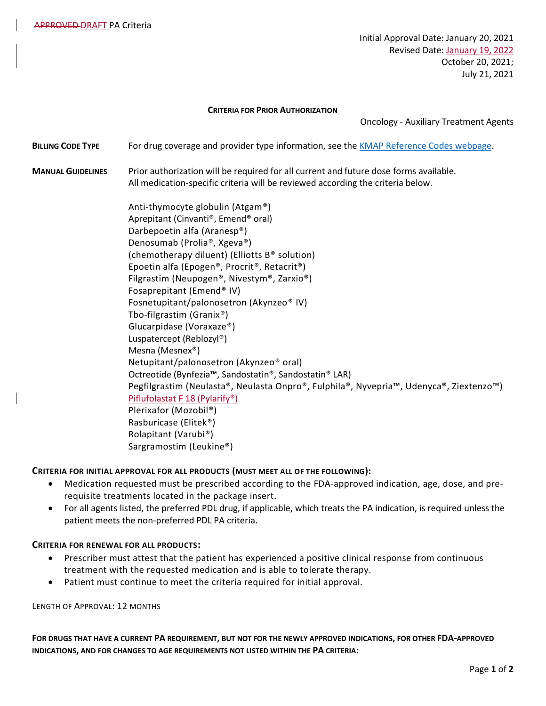Initial Approval Date: January 20, 2021 Revised Date: January 19, 2022 October 20, 2021; July 21, 2021

## **CRITERIA FOR PRIOR AUTHORIZATION**

Oncology - Auxiliary Treatment Agents

**BILLING CODE TYPE** For drug coverage and provider type information, see the [KMAP Reference Codes webpage.](https://www.kmap-state-ks.us/Provider/PRICING/RefCode.asp)

**MANUAL GUIDELINES** Prior authorization will be required for all current and future dose forms available. All medication-specific criteria will be reviewed according the criteria below.

> Anti-thymocyte globulin (Atgam®) Aprepitant (Cinvanti®, Emend® oral) Darbepoetin alfa (Aranesp®) Denosumab (Prolia®, Xgeva®) (chemotherapy diluent) (Elliotts B® solution) Epoetin alfa (Epogen®, Procrit®, Retacrit®) Filgrastim (Neupogen®, Nivestym®, Zarxio®) Fosaprepitant (Emend® IV) Fosnetupitant/palonosetron (Akynzeo® IV) Tbo-filgrastim (Granix®) Glucarpidase (Voraxaze®) Luspatercept (Reblozyl®) Mesna (Mesnex®) Netupitant/palonosetron (Akynzeo® oral) Octreotide (Bynfezia™, Sandostatin®, Sandostatin® LAR) Pegfilgrastim (Neulasta®, Neulasta Onpro®, Fulphila®, Nyvepria™, Udenyca®, Ziextenzo™) Piflufolastat F 18 (Pylarify®) Plerixafor (Mozobil®) Rasburicase (Elitek®) Rolapitant (Varubi®) Sargramostim (Leukine®)

## **CRITERIA FOR INITIAL APPROVAL FOR ALL PRODUCTS (MUST MEET ALL OF THE FOLLOWING):**

- Medication requested must be prescribed according to the FDA-approved indication, age, dose, and prerequisite treatments located in the package insert.
- For all agents listed, the preferred PDL drug, if applicable, which treats the PA indication, is required unless the patient meets the non-preferred PDL PA criteria.

## **CRITERIA FOR RENEWAL FOR ALL PRODUCTS:**

- Prescriber must attest that the patient has experienced a positive clinical response from continuous treatment with the requested medication and is able to tolerate therapy.
- Patient must continue to meet the criteria required for initial approval.

LENGTH OF APPROVAL: 12 MONTHS

**FOR DRUGS THAT HAVE A CURRENT PA REQUIREMENT, BUT NOT FOR THE NEWLY APPROVED INDICATIONS, FOR OTHER FDA-APPROVED INDICATIONS, AND FOR CHANGES TO AGE REQUIREMENTS NOT LISTED WITHIN THE PA CRITERIA:**